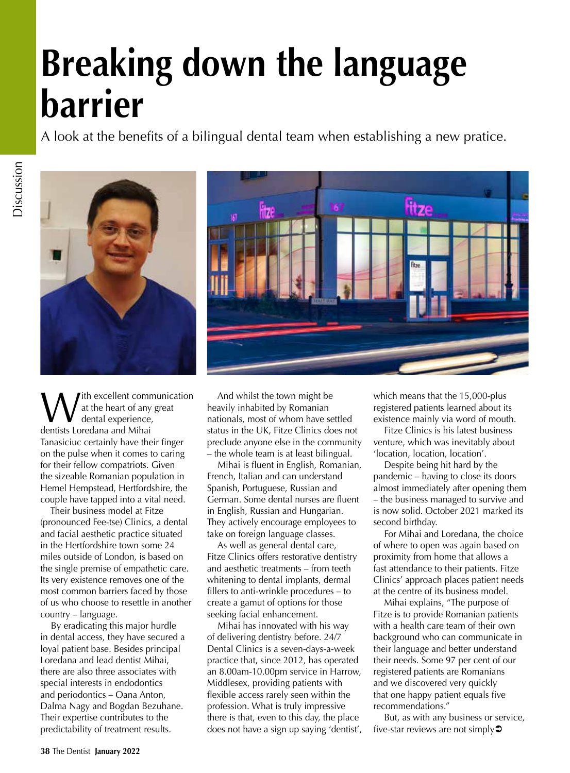## **Breaking down the language barrier**

A look at the benefits of a bilingual dental team when establishing a new pratice.



ith excellent communication at the heart of any great dental experience, dentists Loredana and Mihai Tanasiciuc certainly have their finger on the pulse when it comes to caring for their fellow compatriots. Given the sizeable Romanian population in Hemel Hempstead, Hertfordshire, the couple have tapped into a vital need.

Their business model at Fitze (pronounced Fee-tse) Clinics, a dental and facial aesthetic practice situated in the Hertfordshire town some 24 miles outside of London, is based on the single premise of empathetic care. Its very existence removes one of the most common barriers faced by those of us who choose to resettle in another country – language.

By eradicating this major hurdle in dental access, they have secured a loyal patient base. Besides principal Loredana and lead dentist Mihai, there are also three associates with special interests in endodontics and periodontics – Oana Anton, Dalma Nagy and Bogdan Bezuhane. Their expertise contributes to the predictability of treatment results.

And whilst the town might be heavily inhabited by Romanian nationals, most of whom have settled status in the UK, Fitze Clinics does not preclude anyone else in the community – the whole team is at least bilingual.

Mihai is fluent in English, Romanian, French, Italian and can understand Spanish, Portuguese, Russian and German. Some dental nurses are fluent in English, Russian and Hungarian. They actively encourage employees to take on foreign language classes.

As well as general dental care, Fitze Clinics offers restorative dentistry and aesthetic treatments – from teeth whitening to dental implants, dermal fillers to anti-wrinkle procedures – to create a gamut of options for those seeking facial enhancement.

Mihai has innovated with his way of delivering dentistry before. 24/7 Dental Clinics is a seven-days-a-week practice that, since 2012, has operated an 8.00am-10.00pm service in Harrow, Middlesex, providing patients with flexible access rarely seen within the profession. What is truly impressive there is that, even to this day, the place does not have a sign up saying 'dentist', which means that the 15,000-plus registered patients learned about its existence mainly via word of mouth.

Fitze Clinics is his latest business venture, which was inevitably about 'location, location, location'.

Despite being hit hard by the pandemic – having to close its doors almost immediately after opening them – the business managed to survive and is now solid. October 2021 marked its second birthday.

For Mihai and Loredana, the choice of where to open was again based on proximity from home that allows a fast attendance to their patients. Fitze Clinics' approach places patient needs at the centre of its business model.

Mihai explains, "The purpose of Fitze is to provide Romanian patients with a health care team of their own background who can communicate in their language and better understand their needs. Some 97 per cent of our registered patients are Romanians and we discovered very quickly that one happy patient equals five recommendations."

But, as with any business or service, five-star reviews are not simply $\supset$